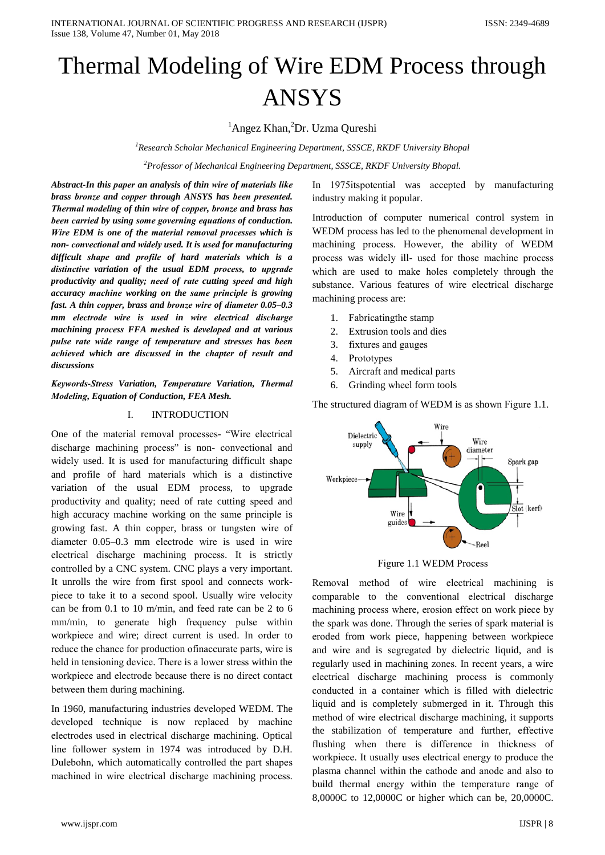# Thermal Modeling of Wire EDM Process through **ANSYS**

<sup>1</sup>Angez Khan,<sup>2</sup>Dr. Uzma Qureshi

<sup>1</sup>Research Scholar Mechanical Engineering Department, SSSCE, RKDF University Bhopal

<sup>2</sup>Professor of Mechanical Engineering Department, SSSCE, RKDF University Bhopal.

Abstract-In this paper an analysis of thin wire of materials like brass bronze and copper through ANSYS has been presented. Thermal modeling of thin wire of copper, bronze and brass has been carried by using some governing equations of conduction. Wire EDM is one of the material removal processes which is non-convectional and widely used. It is used for manufacturing difficult shape and profile of hard materials which is a distinctive variation of the usual EDM process, to upgrade productivity and quality; need of rate cutting speed and high accuracy machine working on the same principle is growing fast. A thin copper, brass and bronze wire of diameter 0.05-0.3 mm electrode wire is used in wire electrical discharge machining process FFA meshed is developed and at various pulse rate wide range of temperature and stresses has been achieved which are discussed in the chapter of result and discussions

Keywords-Stress Variation, Temperature Variation, Thermal Modeling, Equation of Conduction, FEA Mesh.

#### I. **INTRODUCTION**

One of the material removal processes- "Wire electrical discharge machining process" is non-convectional and widely used. It is used for manufacturing difficult shape and profile of hard materials which is a distinctive variation of the usual EDM process, to upgrade productivity and quality; need of rate cutting speed and high accuracy machine working on the same principle is growing fast. A thin copper, brass or tungsten wire of diameter 0.05–0.3 mm electrode wire is used in wire electrical discharge machining process. It is strictly controlled by a CNC system. CNC plays a very important. It unrolls the wire from first spool and connects workpiece to take it to a second spool. Usually wire velocity can be from 0.1 to 10 m/min, and feed rate can be 2 to 6 mm/min, to generate high frequency pulse within workpiece and wire; direct current is used. In order to reduce the chance for production of inaccurate parts, wire is held in tensioning device. There is a lower stress within the workpiece and electrode because there is no direct contact between them during machining.

In 1960, manufacturing industries developed WEDM. The developed technique is now replaced by machine electrodes used in electrical discharge machining. Optical line follower system in 1974 was introduced by D.H. Dulebohn, which automatically controlled the part shapes machined in wire electrical discharge machining process.

In 1975 its potential was accepted by manufacturing industry making it popular.

Introduction of computer numerical control system in WEDM process has led to the phenomenal development in machining process. However, the ability of WEDM process was widely ill- used for those machine process which are used to make holes completely through the substance. Various features of wire electrical discharge machining process are:

- 1. Fabricating the stamp
- 2. Extrusion tools and dies
- 3. fixtures and gauges
- 4. Prototypes
- 5. Aircraft and medical parts
- Grinding wheel form tools 6.

The structured diagram of WEDM is as shown Figure 1.1.



Figure 1.1 WEDM Process

Removal method of wire electrical machining is comparable to the conventional electrical discharge machining process where, erosion effect on work piece by the spark was done. Through the series of spark material is eroded from work piece, happening between workpiece and wire and is segregated by dielectric liquid, and is regularly used in machining zones. In recent years, a wire electrical discharge machining process is commonly conducted in a container which is filled with dielectric liquid and is completely submerged in it. Through this method of wire electrical discharge machining, it supports the stabilization of temperature and further, effective flushing when there is difference in thickness of workpiece. It usually uses electrical energy to produce the plasma channel within the cathode and anode and also to build thermal energy within the temperature range of 8,0000C to 12,0000C or higher which can be, 20,0000C.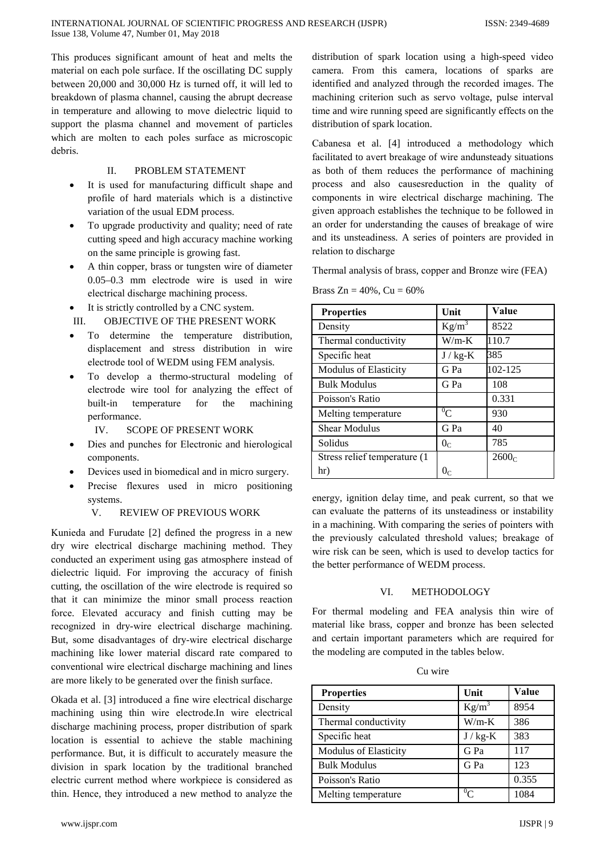This produces significant amount of heat and melts the material on each pole surface. If the oscillating DC supply between 20,000 and 30,000 Hz is turned off, it will led to breakdown of plasma channel, causing the abrupt decrease in temperature and allowing to move dielectric liquid to support the plasma channel and movement of particles which are molten to each poles surface as microscopic debris.

## Π. PROBLEM STATEMENT

- It is used for manufacturing difficult shape and profile of hard materials which is a distinctive variation of the usual EDM process.
- To upgrade productivity and quality; need of rate cutting speed and high accuracy machine working on the same principle is growing fast.
- A thin copper, brass or tungsten wire of diameter  $0.05-0.3$  mm electrode wire is used in wire electrical discharge machining process.
- It is strictly controlled by a CNC system.

OBJECTIVE OF THE PRESENT WORK  $III.$ 

- To determine the temperature distribution, displacement and stress distribution in wire electrode tool of WEDM using FEM analysis.
- To develop a thermo-structural modeling of electrode wire tool for analyzing the effect of built-in temperature for machining the performance.

 $IV.$ **SCOPE OF PRESENT WORK** 

- Dies and punches for Electronic and hierological components.
- Devices used in biomedical and in micro surgery.
- Precise flexures used in micro positioning systems.

#### V. **REVIEW OF PREVIOUS WORK**

Kunieda and Furudate [2] defined the progress in a new dry wire electrical discharge machining method. They conducted an experiment using gas atmosphere instead of dielectric liquid. For improving the accuracy of finish cutting, the oscillation of the wire electrode is required so that it can minimize the minor small process reaction force. Elevated accuracy and finish cutting may be recognized in dry-wire electrical discharge machining. But, some disadvantages of dry-wire electrical discharge machining like lower material discard rate compared to conventional wire electrical discharge machining and lines are more likely to be generated over the finish surface.

Okada et al. [3] introduced a fine wire electrical discharge machining using thin wire electrode. In wire electrical discharge machining process, proper distribution of spark location is essential to achieve the stable machining performance. But, it is difficult to accurately measure the division in spark location by the traditional branched electric current method where workpiece is considered as thin. Hence, they introduced a new method to analyze the

www.ijspr.com

distribution of spark location using a high-speed video camera. From this camera, locations of sparks are identified and analyzed through the recorded images. The machining criterion such as servo voltage, pulse interval time and wire running speed are significantly effects on the distribution of spark location.

Cabanesa et al. [4] introduced a methodology which facilitated to avert breakage of wire andunsteady situations as both of them reduces the performance of machining process and also causes reduction in the quality of components in wire electrical discharge machining. The given approach establishes the technique to be followed in an order for understanding the causes of breakage of wire and its unsteadiness. A series of pointers are provided in relation to discharge

Thermal analysis of brass, copper and Bronze wire (FEA)

Brass  $Zn = 40\%$ ,  $Cu = 60\%$ 

| <b>Properties</b>             | Unit             | Value   |
|-------------------------------|------------------|---------|
| Density                       | $Kg/m^3$         | 8522    |
| Thermal conductivity          | $W/m-K$          | 110.7   |
| Specific heat                 | $J / kg-K$       | 385     |
| <b>Modulus of Elasticity</b>  | G Pa             | 102-125 |
| <b>Bulk Modulus</b>           | G Pa             | 108     |
| Poisson's Ratio               |                  | 0.331   |
| Melting temperature.          | $\overline{0}$ C | 930     |
| <b>Shear Modulus</b>          | G Pa             | 40      |
| Solidus                       | 0 <sub>c</sub>   | 785     |
| Stress relief temperature (1) |                  | 2600C   |
| hr)                           |                  |         |

energy, ignition delay time, and peak current, so that we can evaluate the patterns of its unsteadiness or instability in a machining. With comparing the series of pointers with the previously calculated threshold values; breakage of wire risk can be seen, which is used to develop tactics for the better performance of WEDM process.

#### VI. METHODOLOGY

For thermal modeling and FEA analysis thin wire of material like brass, copper and bronze has been selected and certain important parameters which are required for the modeling are computed in the tables below.

| w<br>ır |
|---------|

| <b>Properties</b>            | Unit       | Value |
|------------------------------|------------|-------|
| Density                      | $Kg/m^3$   | 8954  |
| Thermal conductivity         | $W/m-K$    | 386   |
| Specific heat                | $J / kg-K$ | 383   |
| <b>Modulus of Elasticity</b> | G Pa       | 117   |
| <b>Bulk Modulus</b>          | G Pa       | 123   |
| Poisson's Ratio              |            | 0.355 |
| Melting temperature          | $^{0}C$    | 1084  |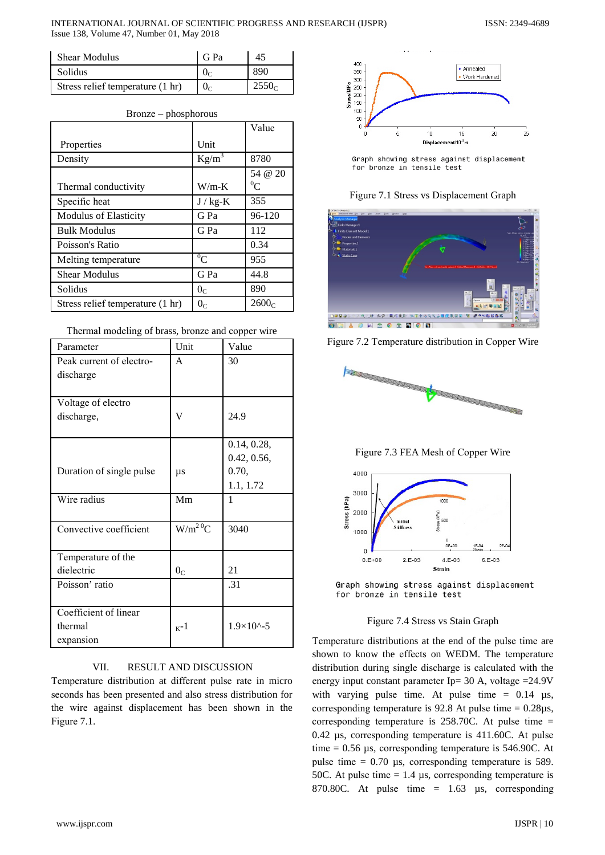INTERNATIONAL JOURNAL OF SCIENTIFIC PROGRESS AND RESEARCH (IJSPR) Issue 138, Volume 47, Number 01, May 2018

| <b>Shear Modulus</b>             | G Pa           | 45    |
|----------------------------------|----------------|-------|
| Solidus                          | 0 <sub>c</sub> | 890   |
| Stress relief temperature (1 hr) | 0 <sub>c</sub> | 2550c |

|                                  |                | Value   |
|----------------------------------|----------------|---------|
| Properties                       | Unit           |         |
| Density                          | $Kg/m^3$       | 8780    |
|                                  |                | 54 @ 20 |
| Thermal conductivity             | $W/m-K$        | ${}^0C$ |
| Specific heat                    | $J / kg-K$     | 355     |
| <b>Modulus of Elasticity</b>     | G Pa           | 96-120  |
| <b>Bulk Modulus</b>              | G Pa           | 112     |
| Poisson's Ratio                  |                | 0.34    |
| Melting temperature              | ${}^{0}C$      | 955     |
| <b>Shear Modulus</b>             | G Pa           | 44.8    |
| Solidus                          | 0 <sub>C</sub> | 890     |
| Stress relief temperature (1 hr) | 0 <sub>c</sub> | 2600C   |

|  | $Bronze - phosphorous$ |
|--|------------------------|
|--|------------------------|

|  |  | Thermal modeling of brass, bronze and copper wire |
|--|--|---------------------------------------------------|
|  |  |                                                   |

| Parameter                | Unit           | Value               |
|--------------------------|----------------|---------------------|
| Peak current of electro- | A              | 30                  |
| discharge                |                |                     |
|                          |                |                     |
| Voltage of electro       |                |                     |
| discharge,               | V              | 24.9                |
|                          |                |                     |
|                          |                | 0.14, 0.28,         |
|                          |                | 0.42, 0.56,         |
| Duration of single pulse | $\mu s$        | 0.70,               |
|                          |                | 1.1, 1.72           |
| Wire radius              | Mm             | 1                   |
|                          |                |                     |
| Convective coefficient   | $W/m^2{}^0C$   | 3040                |
|                          |                |                     |
| Temperature of the       |                |                     |
| dielectric               | 0 <sub>C</sub> | 21                  |
| Poisson' ratio           |                | .31                 |
|                          |                |                     |
| Coefficient of linear    |                |                     |
| thermal                  | $K^{-1}$       | $1.9\times10^{(-)}$ |
| expansion                |                |                     |

## VII. **RESULT AND DISCUSSION**

Temperature distribution at different pulse rate in micro seconds has been presented and also stress distribution for the wire against displacement has been shown in the Figure 7.1.



Graph showing stress against displacement for bronze in tensile test

Figure 7.1 Stress vs Displacement Graph



Figure 7.2 Temperature distribution in Copper Wire







Graph showing stress against displacement for bronze in tensile test

Figure 7.4 Stress vs Stain Graph

Temperature distributions at the end of the pulse time are shown to know the effects on WEDM. The temperature distribution during single discharge is calculated with the energy input constant parameter Ip= 30 A, voltage =  $24.9V$ with varying pulse time. At pulse time  $= 0.14$  us, corresponding temperature is 92.8 At pulse time  $= 0.28 \mu s$ , corresponding temperature is  $258.70C$ . At pulse time = 0.42 µs, corresponding temperature is 411.60C. At pulse time =  $0.56 \mu s$ , corresponding temperature is 546.90C. At pulse time  $= 0.70$  µs, corresponding temperature is 589. 50C. At pulse time  $= 1.4 \mu s$ , corresponding temperature is 870.80C. At pulse time  $= 1.63$  µs, corresponding